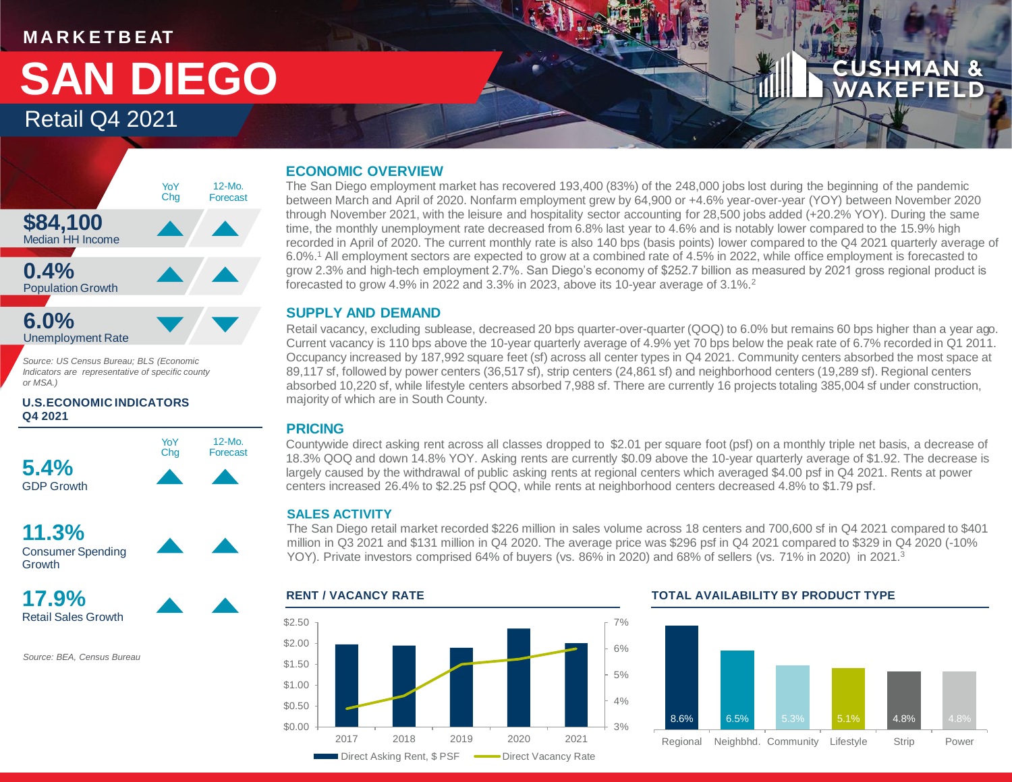#### **M A R K E T B E AT**

## Retail Q4 2021 **SAN DIEGO**

### **CUSHMAN & WAKEFIELD**



*Source: US Census Bureau; BLS (Economic Indicators are representative of specific county or MSA.)*

#### **U.S.ECONOMIC INDICATORS Q4 2021**





**17.9%**

Retail Sales Growth

*Source: BEA, Census Bureau*

#### **ECONOMIC OVERVIEW**

The San Diego employment market has recovered 193,400 (83%) of the 248,000 jobs lost during the beginning of the pandemic between March and April of 2020. Nonfarm employment grew by 64,900 or +4.6% year-over-year (YOY) between November 2020 through November 2021, with the leisure and hospitality sector accounting for 28,500 jobs added (+20.2% YOY). During the same time, the monthly unemployment rate decreased from 6.8% last year to 4.6% and is notably lower compared to the 15.9% high recorded in April of 2020. The current monthly rate is also 140 bps (basis points) lower compared to the Q4 2021 quarterly average of 6.0%.<sup>1</sup> All employment sectors are expected to grow at a combined rate of 4.5% in 2022, while office employment is forecasted to grow 2.3% and high-tech employment 2.7%. San Diego's economy of \$252.7 billion as measured by 2021 gross regional product is forecasted to grow 4.9% in 2022 and 3.3% in 2023, above its 10-year average of 3.1%.<sup>2</sup>

#### **SUPPLY AND DEMAND**

Retail vacancy, excluding sublease, decreased 20 bps quarter-over-quarter (QOQ) to 6.0% but remains 60 bps higher than a year ago. Current vacancy is 110 bps above the 10-year quarterly average of 4.9% yet 70 bps below the peak rate of 6.7% recorded in Q1 2011. Occupancy increased by 187,992 square feet (sf) across all center types in Q4 2021. Community centers absorbed the most space at 89,117 sf, followed by power centers (36,517 sf), strip centers (24,861 sf) and neighborhood centers (19,289 sf). Regional centers absorbed 10,220 sf, while lifestyle centers absorbed 7,988 sf. There are currently 16 projects totaling 385,004 sf under construction, majority of which are in South County.

#### **PRICING**

Countywide direct asking rent across all classes dropped to \$2.01 per square foot (psf) on a monthly triple net basis, a decrease of 18.3% QOQ and down 14.8% YOY. Asking rents are currently \$0.09 above the 10-year quarterly average of \$1.92. The decrease is largely caused by the withdrawal of public asking rents at regional centers which averaged \$4.00 psf in Q4 2021. Rents at power centers increased 26.4% to \$2.25 psf QOQ, while rents at neighborhood centers decreased 4.8% to \$1.79 psf.

#### **SALES ACTIVITY**

The San Diego retail market recorded \$226 million in sales volume across 18 centers and 700,600 sf in Q4 2021 compared to \$401 million in Q3 2021 and \$131 million in Q4 2020. The average price was \$296 psf in Q4 2021 compared to \$329 in Q4 2020 (-10% YOY). Private investors comprised 64% of buvers (vs. 86% in 2020) and 68% of sellers (vs. 71% in 2020) in 2021.<sup>3</sup>



#### **RENT / VACANCY RATE TOTAL AVAILABILITY BY PRODUCT TYPE**